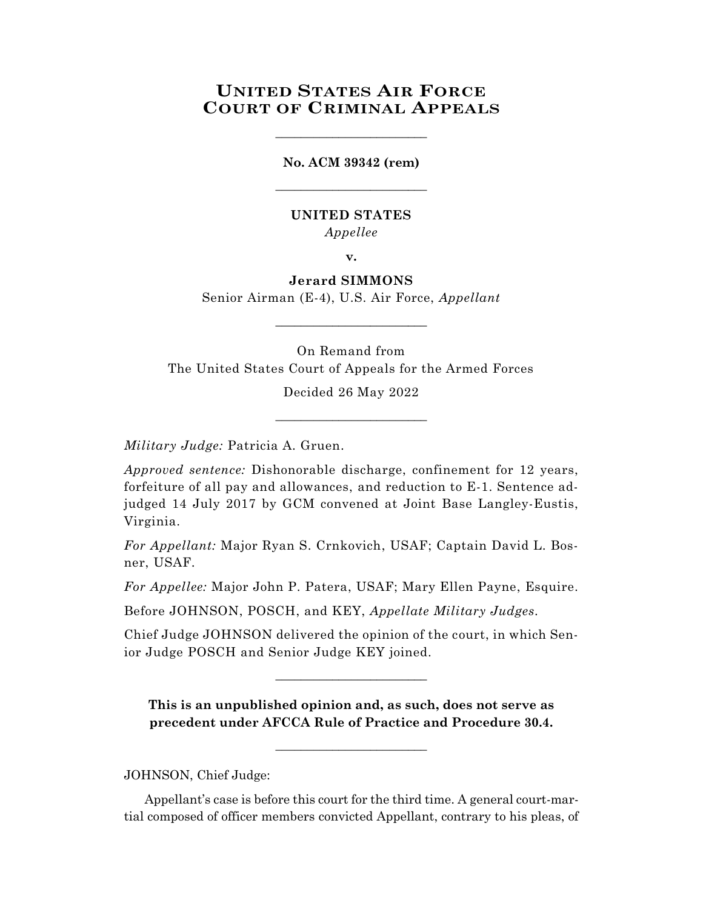# **UNITED STATES AIR FORCE COURT OF CRIMINAL APPEALS**

\_\_\_\_\_\_\_\_\_\_\_\_\_\_\_\_\_\_\_\_\_\_\_\_

# **No. ACM 39342 (rem)** \_\_\_\_\_\_\_\_\_\_\_\_\_\_\_\_\_\_\_\_\_\_\_\_

## **UNITED STATES** *Appellee*

**v.**

# **Jerard SIMMONS**

Senior Airman (E-4), U.S. Air Force, *Appellant* \_\_\_\_\_\_\_\_\_\_\_\_\_\_\_\_\_\_\_\_\_\_\_\_

On Remand from The United States Court of Appeals for the Armed Forces

> Decided 26 May 2022 \_\_\_\_\_\_\_\_\_\_\_\_\_\_\_\_\_\_\_\_\_\_\_\_

*Military Judge:* Patricia A. Gruen.

*Approved sentence:* Dishonorable discharge, confinement for 12 years, forfeiture of all pay and allowances, and reduction to E-1. Sentence adjudged 14 July 2017 by GCM convened at Joint Base Langley-Eustis, Virginia.

*For Appellant:* Major Ryan S. Crnkovich, USAF; Captain David L. Bosner, USAF.

*For Appellee:* Major John P. Patera, USAF; Mary Ellen Payne, Esquire.

Before JOHNSON, POSCH, and KEY, *Appellate Military Judges.*

Chief Judge JOHNSON delivered the opinion of the court, in which Senior Judge POSCH and Senior Judge KEY joined.

 $\_$ 

**This is an unpublished opinion and, as such, does not serve as precedent under AFCCA Rule of Practice and Procedure 30.4.**

 $\_$ 

JOHNSON, Chief Judge:

Appellant's case is before this court for the third time. A general court-martial composed of officer members convicted Appellant, contrary to his pleas, of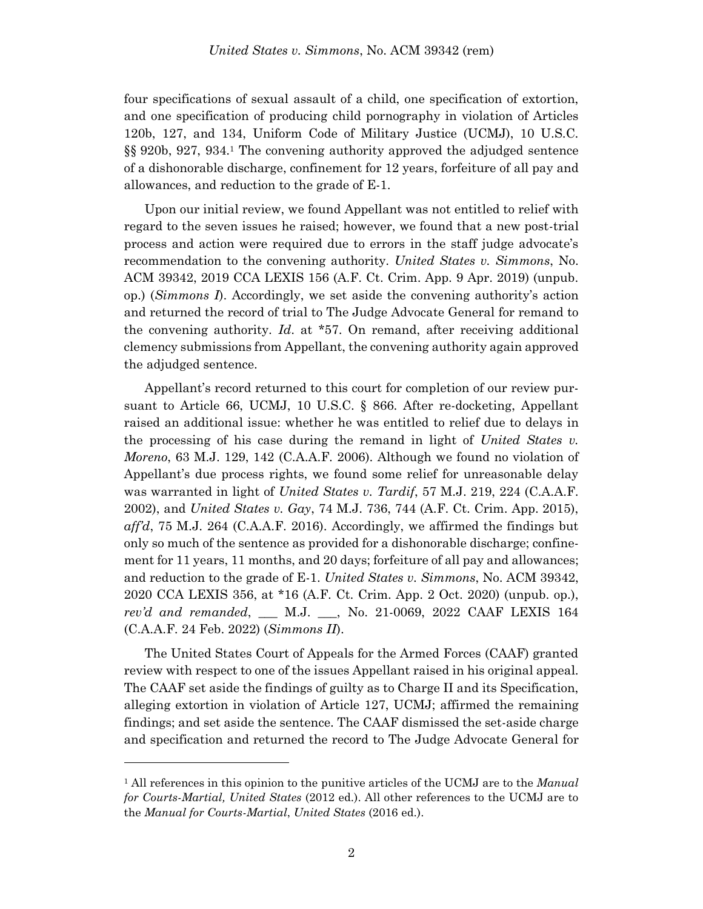four specifications of sexual assault of a child, one specification of extortion, and one specification of producing child pornography in violation of Articles 120b, 127, and 134, Uniform Code of Military Justice (UCMJ), 10 U.S.C. §§ 920b, 927, 934.<sup>1</sup> The convening authority approved the adjudged sentence of a dishonorable discharge, confinement for 12 years, forfeiture of all pay and allowances, and reduction to the grade of E-1.

Upon our initial review, we found Appellant was not entitled to relief with regard to the seven issues he raised; however, we found that a new post-trial process and action were required due to errors in the staff judge advocate's recommendation to the convening authority. *United States v. Simmons*, No. ACM 39342, 2019 CCA LEXIS 156 (A.F. Ct. Crim. App. 9 Apr. 2019) (unpub. op.) (*Simmons I*). Accordingly, we set aside the convening authority's action and returned the record of trial to The Judge Advocate General for remand to the convening authority. *Id*. at \*57. On remand, after receiving additional clemency submissions from Appellant, the convening authority again approved the adjudged sentence.

Appellant's record returned to this court for completion of our review pursuant to Article 66, UCMJ, 10 U.S.C. § 866. After re-docketing, Appellant raised an additional issue: whether he was entitled to relief due to delays in the processing of his case during the remand in light of *United States v. Moreno*, 63 M.J. 129, 142 (C.A.A.F. 2006). Although we found no violation of Appellant's due process rights, we found some relief for unreasonable delay was warranted in light of *United States v. Tardif*, 57 M.J. 219, 224 (C.A.A.F. 2002), and *United States v. Gay*, 74 M.J. 736, 744 (A.F. Ct. Crim. App. 2015), *aff'd*, 75 M.J. 264 (C.A.A.F. 2016). Accordingly, we affirmed the findings but only so much of the sentence as provided for a dishonorable discharge; confinement for 11 years, 11 months, and 20 days; forfeiture of all pay and allowances; and reduction to the grade of E-1. *United States v. Simmons*, No. ACM 39342, 2020 CCA LEXIS 356, at \*16 (A.F. Ct. Crim. App. 2 Oct. 2020) (unpub. op.), *rev'd and remanded*, \_\_\_ M.J. \_\_\_, No. 21-0069, 2022 CAAF LEXIS 164 (C.A.A.F. 24 Feb. 2022) (*Simmons II*).

The United States Court of Appeals for the Armed Forces (CAAF) granted review with respect to one of the issues Appellant raised in his original appeal. The CAAF set aside the findings of guilty as to Charge II and its Specification, alleging extortion in violation of Article 127, UCMJ; affirmed the remaining findings; and set aside the sentence. The CAAF dismissed the set-aside charge and specification and returned the record to The Judge Advocate General for

l

<sup>1</sup> All references in this opinion to the punitive articles of the UCMJ are to the *Manual for Courts-Martial, United States* (2012 ed.). All other references to the UCMJ are to the *Manual for Courts-Martial*, *United States* (2016 ed.).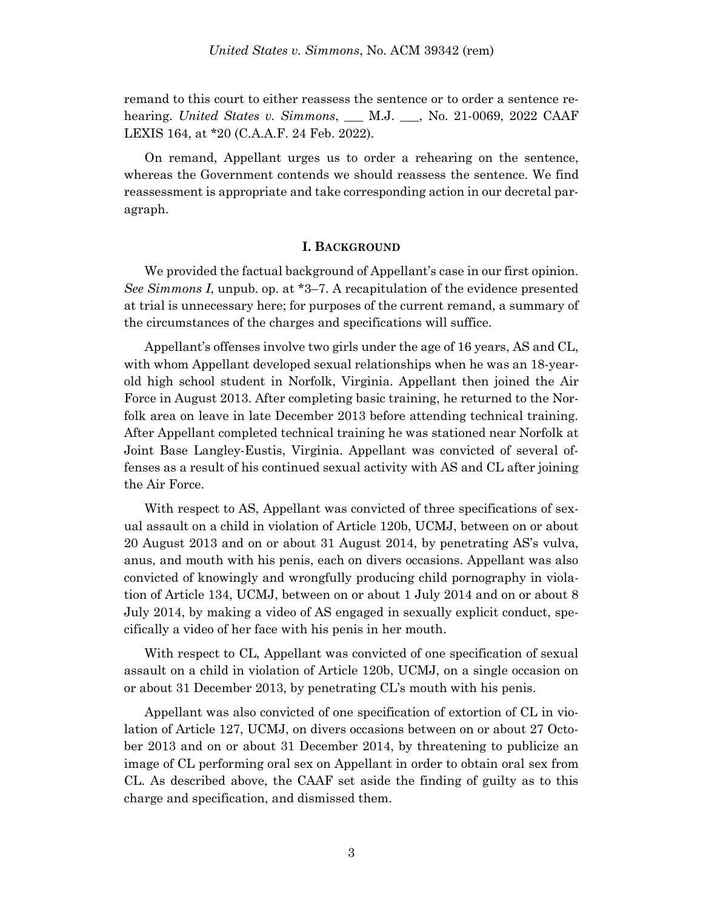remand to this court to either reassess the sentence or to order a sentence rehearing. *United States v. Simmons*, \_\_\_ M.J. \_\_\_, No. 21-0069, 2022 CAAF LEXIS 164, at \*20 (C.A.A.F. 24 Feb. 2022).

On remand, Appellant urges us to order a rehearing on the sentence, whereas the Government contends we should reassess the sentence. We find reassessment is appropriate and take corresponding action in our decretal paragraph.

#### **I. BACKGROUND**

We provided the factual background of Appellant's case in our first opinion. *See Simmons I*, unpub. op. at \*3–7. A recapitulation of the evidence presented at trial is unnecessary here; for purposes of the current remand, a summary of the circumstances of the charges and specifications will suffice.

Appellant's offenses involve two girls under the age of 16 years, AS and CL, with whom Appellant developed sexual relationships when he was an 18-yearold high school student in Norfolk, Virginia. Appellant then joined the Air Force in August 2013. After completing basic training, he returned to the Norfolk area on leave in late December 2013 before attending technical training. After Appellant completed technical training he was stationed near Norfolk at Joint Base Langley-Eustis, Virginia. Appellant was convicted of several offenses as a result of his continued sexual activity with AS and CL after joining the Air Force.

With respect to AS, Appellant was convicted of three specifications of sexual assault on a child in violation of Article 120b, UCMJ, between on or about 20 August 2013 and on or about 31 August 2014, by penetrating AS's vulva, anus, and mouth with his penis, each on divers occasions. Appellant was also convicted of knowingly and wrongfully producing child pornography in violation of Article 134, UCMJ, between on or about 1 July 2014 and on or about 8 July 2014, by making a video of AS engaged in sexually explicit conduct, specifically a video of her face with his penis in her mouth.

With respect to CL, Appellant was convicted of one specification of sexual assault on a child in violation of Article 120b, UCMJ, on a single occasion on or about 31 December 2013, by penetrating CL's mouth with his penis.

Appellant was also convicted of one specification of extortion of CL in violation of Article 127, UCMJ, on divers occasions between on or about 27 October 2013 and on or about 31 December 2014, by threatening to publicize an image of CL performing oral sex on Appellant in order to obtain oral sex from CL. As described above, the CAAF set aside the finding of guilty as to this charge and specification, and dismissed them.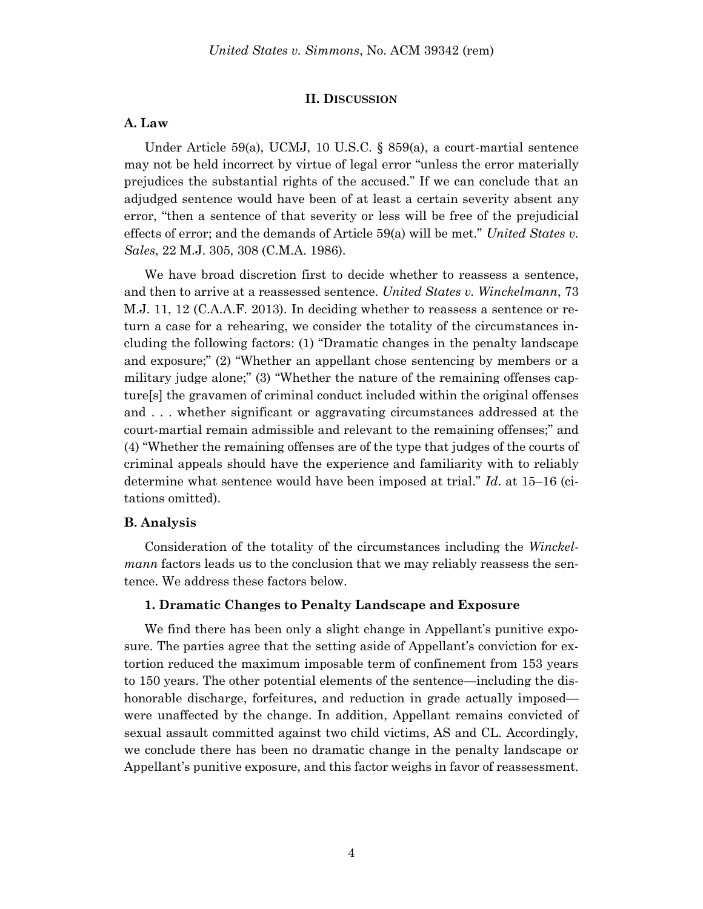#### **II. DISCUSSION**

#### **A. Law**

Under Article 59(a), UCMJ, 10 U.S.C. § 859(a), a court-martial sentence may not be held incorrect by virtue of legal error "unless the error materially prejudices the substantial rights of the accused." If we can conclude that an adjudged sentence would have been of at least a certain severity absent any error, "then a sentence of that severity or less will be free of the prejudicial effects of error; and the demands of Article 59(a) will be met." *United States v. Sales*, 22 M.J. 305, 308 (C.M.A. 1986).

We have broad discretion first to decide whether to reassess a sentence, and then to arrive at a reassessed sentence. *United States v. Winckelmann*, 73 M.J. 11, 12 (C.A.A.F. 2013). In deciding whether to reassess a sentence or return a case for a rehearing, we consider the totality of the circumstances including the following factors: (1) "Dramatic changes in the penalty landscape and exposure;" (2) "Whether an appellant chose sentencing by members or a military judge alone;" (3) "Whether the nature of the remaining offenses capture[s] the gravamen of criminal conduct included within the original offenses and . . . whether significant or aggravating circumstances addressed at the court-martial remain admissible and relevant to the remaining offenses;" and (4) "Whether the remaining offenses are of the type that judges of the courts of criminal appeals should have the experience and familiarity with to reliably determine what sentence would have been imposed at trial." *Id*. at 15–16 (citations omitted).

#### **B. Analysis**

Consideration of the totality of the circumstances including the *Winckelmann* factors leads us to the conclusion that we may reliably reassess the sentence. We address these factors below.

#### **1. Dramatic Changes to Penalty Landscape and Exposure**

We find there has been only a slight change in Appellant's punitive exposure. The parties agree that the setting aside of Appellant's conviction for extortion reduced the maximum imposable term of confinement from 153 years to 150 years. The other potential elements of the sentence—including the dishonorable discharge, forfeitures, and reduction in grade actually imposed were unaffected by the change. In addition, Appellant remains convicted of sexual assault committed against two child victims, AS and CL. Accordingly, we conclude there has been no dramatic change in the penalty landscape or Appellant's punitive exposure, and this factor weighs in favor of reassessment.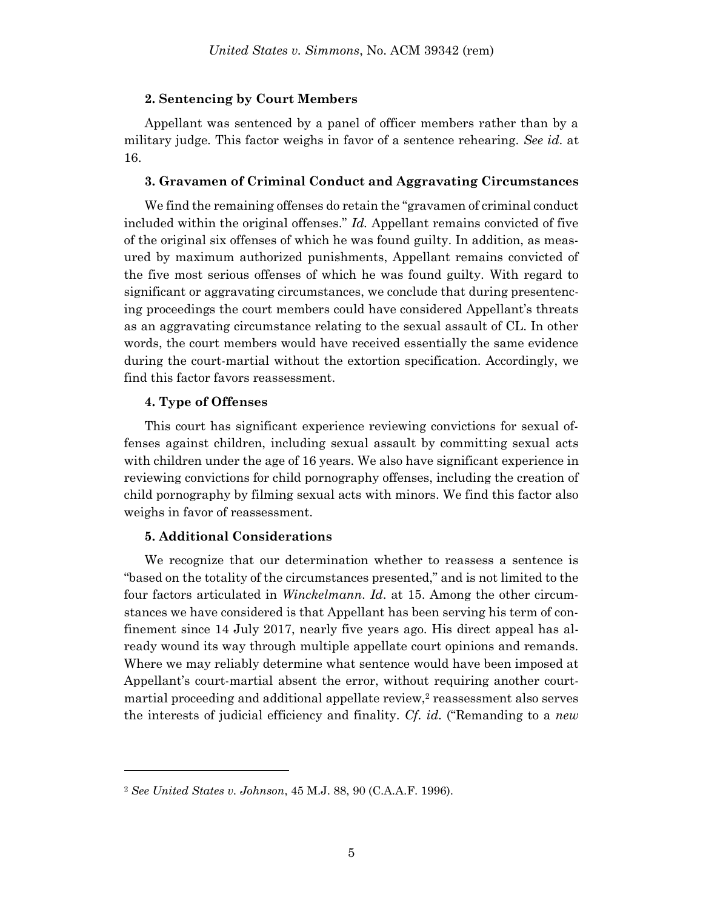#### **2. Sentencing by Court Members**

Appellant was sentenced by a panel of officer members rather than by a military judge. This factor weighs in favor of a sentence rehearing. *See id*. at 16.

#### **3. Gravamen of Criminal Conduct and Aggravating Circumstances**

We find the remaining offenses do retain the "gravamen of criminal conduct included within the original offenses." *Id.* Appellant remains convicted of five of the original six offenses of which he was found guilty. In addition, as measured by maximum authorized punishments, Appellant remains convicted of the five most serious offenses of which he was found guilty. With regard to significant or aggravating circumstances, we conclude that during presentencing proceedings the court members could have considered Appellant's threats as an aggravating circumstance relating to the sexual assault of CL. In other words, the court members would have received essentially the same evidence during the court-martial without the extortion specification. Accordingly, we find this factor favors reassessment.

### **4. Type of Offenses**

l

This court has significant experience reviewing convictions for sexual offenses against children, including sexual assault by committing sexual acts with children under the age of 16 years. We also have significant experience in reviewing convictions for child pornography offenses, including the creation of child pornography by filming sexual acts with minors. We find this factor also weighs in favor of reassessment.

## **5. Additional Considerations**

We recognize that our determination whether to reassess a sentence is "based on the totality of the circumstances presented," and is not limited to the four factors articulated in *Winckelmann*. *Id*. at 15. Among the other circumstances we have considered is that Appellant has been serving his term of confinement since 14 July 2017, nearly five years ago. His direct appeal has already wound its way through multiple appellate court opinions and remands. Where we may reliably determine what sentence would have been imposed at Appellant's court-martial absent the error, without requiring another courtmartial proceeding and additional appellate review, $\alpha$  reassessment also serves the interests of judicial efficiency and finality. *Cf*. *id*. ("Remanding to a *new*

<sup>2</sup> *See United States v. Johnson*, 45 M.J. 88, 90 (C.A.A.F. 1996).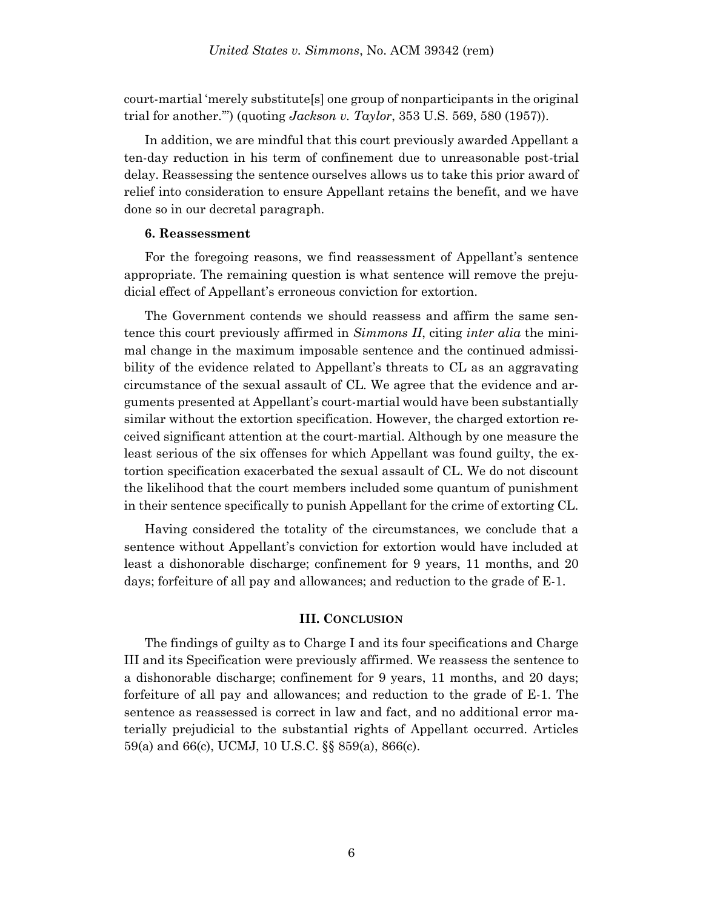court-martial 'merely substitute[s] one group of nonparticipants in the original trial for another.'") (quoting *Jackson v. Taylor*, 353 U.S. 569, 580 (1957)).

In addition, we are mindful that this court previously awarded Appellant a ten-day reduction in his term of confinement due to unreasonable post-trial delay. Reassessing the sentence ourselves allows us to take this prior award of relief into consideration to ensure Appellant retains the benefit, and we have done so in our decretal paragraph.

#### **6. Reassessment**

For the foregoing reasons, we find reassessment of Appellant's sentence appropriate. The remaining question is what sentence will remove the prejudicial effect of Appellant's erroneous conviction for extortion.

The Government contends we should reassess and affirm the same sentence this court previously affirmed in *Simmons II*, citing *inter alia* the minimal change in the maximum imposable sentence and the continued admissibility of the evidence related to Appellant's threats to CL as an aggravating circumstance of the sexual assault of CL. We agree that the evidence and arguments presented at Appellant's court-martial would have been substantially similar without the extortion specification. However, the charged extortion received significant attention at the court-martial. Although by one measure the least serious of the six offenses for which Appellant was found guilty, the extortion specification exacerbated the sexual assault of CL. We do not discount the likelihood that the court members included some quantum of punishment in their sentence specifically to punish Appellant for the crime of extorting CL.

Having considered the totality of the circumstances, we conclude that a sentence without Appellant's conviction for extortion would have included at least a dishonorable discharge; confinement for 9 years, 11 months, and 20 days; forfeiture of all pay and allowances; and reduction to the grade of E-1.

### **III. CONCLUSION**

The findings of guilty as to Charge I and its four specifications and Charge III and its Specification were previously affirmed. We reassess the sentence to a dishonorable discharge; confinement for 9 years, 11 months, and 20 days; forfeiture of all pay and allowances; and reduction to the grade of E-1. The sentence as reassessed is correct in law and fact, and no additional error materially prejudicial to the substantial rights of Appellant occurred. Articles 59(a) and 66(c), UCMJ, 10 U.S.C. §§ 859(a), 866(c).